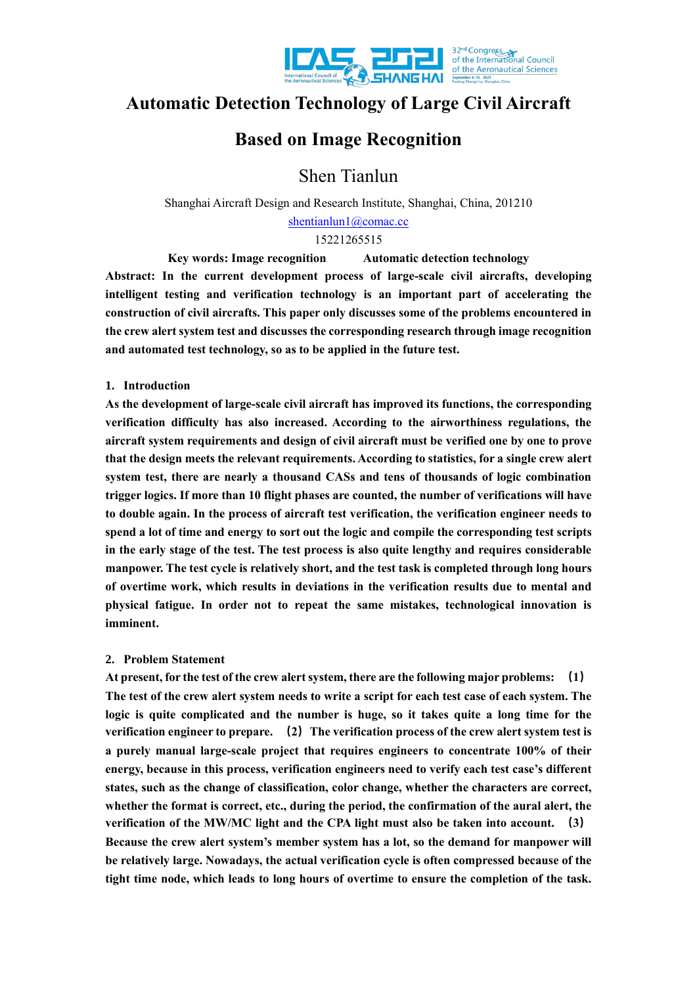

# **Automatic Detection Technology of Large Civil Aircraft**

# **Based on Image Recognition**

Shen Tianlun

Shanghai Aircraft Design and Research Institute, Shanghai, China, 201210 [shentianlun1@comac.cc](mailto:shentianlun1@comac.cc)

15221265515

**Key words: Image recognition Automatic detection technology Abstract: In the current development process of large-scale civil aircrafts, developing intelligent testing and verification technology is an important part of accelerating the construction of civil aircrafts. This paper only discusses some of the problems encountered in the crew alert system test and discusses the corresponding research through image recognition and automated test technology, so as to be applied in the future test.**

## **1. Introduction**

**As the development of large-scale civil aircraft has improved its functions, the corresponding verification difficulty has also increased. According to the airworthiness regulations, the aircraft system requirements and design of civil aircraft must be verified one by one to prove that the design meets the relevant requirements. According to statistics, for a single crew alert system test, there are nearly a thousand CASs and tens of thousands of logic combination trigger logics. If more than 10 flight phases are counted, the number of verifications will have to double again. In the process of aircraft test verification, the verification engineer needs to spend a lot of time and energy to sort out the logic and compile the corresponding test scripts in the early stage of the test. The test process is also quite lengthy and requires considerable manpower. The test cycle is relatively short, and the test task is completed through long hours of overtime work, which results in deviations in the verification results due to mental and physical fatigue. In order not to repeat the same mistakes, technological innovation is imminent.**

# **2. Problem Statement**

**At present, for the test of the crew alertsystem, there are the following major problems: (1) The test of the crew alert system needs to write a script for each test case of each system. The logic is quite complicated and the number is huge, so it takes quite a long time for the verification engineer to prepare. (2)The verification process of the crew alert system test is a purely manual large-scale project that requires engineers to concentrate 100% of their energy, because in this process, verification engineers need to verify each test case's different states, such as the change of classification, color change, whether the characters are correct, whether the format is correct, etc., during the period, the confirmation of the aural alert, the verification of the MW/MC light and the CPA light must also be taken into account. (3) Because the crew alert system's member system has a lot, so the demand for manpower will be relatively large. Nowadays, the actual verification cycle is often compressed because of the tight time node, which leads to long hours of overtime to ensure the completion of the task.**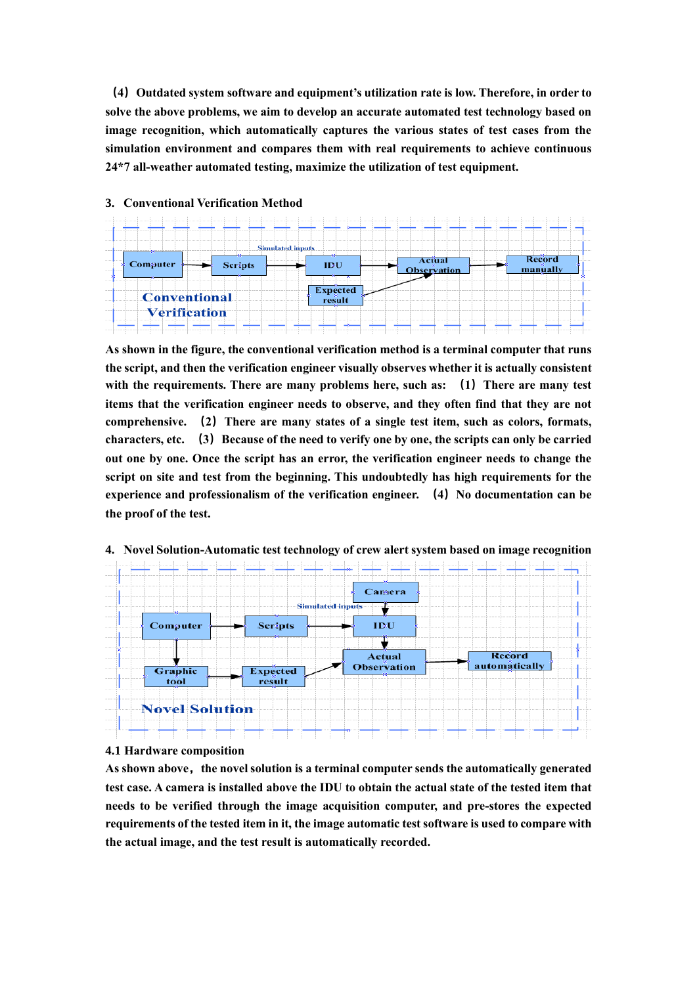**(4)Outdated system software and equipment's utilization rate is low. Therefore, in order to solve the above problems, we aim to develop an accurate automated test technology based on image recognition, which automatically captures the various states of test cases from the simulation environment and compares them with real requirements to achieve continuous 24\*7 all-weather automated testing, maximize the utilization of test equipment.**



### **3. Conventional Verification Method**

**As shown in the figure, the conventional verification method is a terminal computer that runs the script, and then the verification engineer visually observes whether it is actually consistent with the requirements. There are many problems here, such as: (1)There are many test items that the verification engineer needs to observe, and they often find that they are not comprehensive. (2)There are many states of a single test item, such as colors, formats, characters, etc. (3)Because of the need to verify one by one, the scripts can only be carried out one by one. Once the script has an error, the verification engineer needs to change the script on site and test from the beginning. This undoubtedly has high requirements for the experience and professionalism of the verification engineer. (4)No documentation can be the proof of the test.**



## **4. Novel Solution-Automatic test technology of crew alert system based on image recognition**

#### **4.1 Hardware composition**

**As shown above,the novel solution is a terminal computer sends the automatically generated test case. A camera is installed above the IDU to obtain the actual state of the tested item that needs to be verified through the image acquisition computer, and pre-stores the expected requirements of the tested item in it, the image automatic test software is used to compare with the actual image, and the test result is automatically recorded.**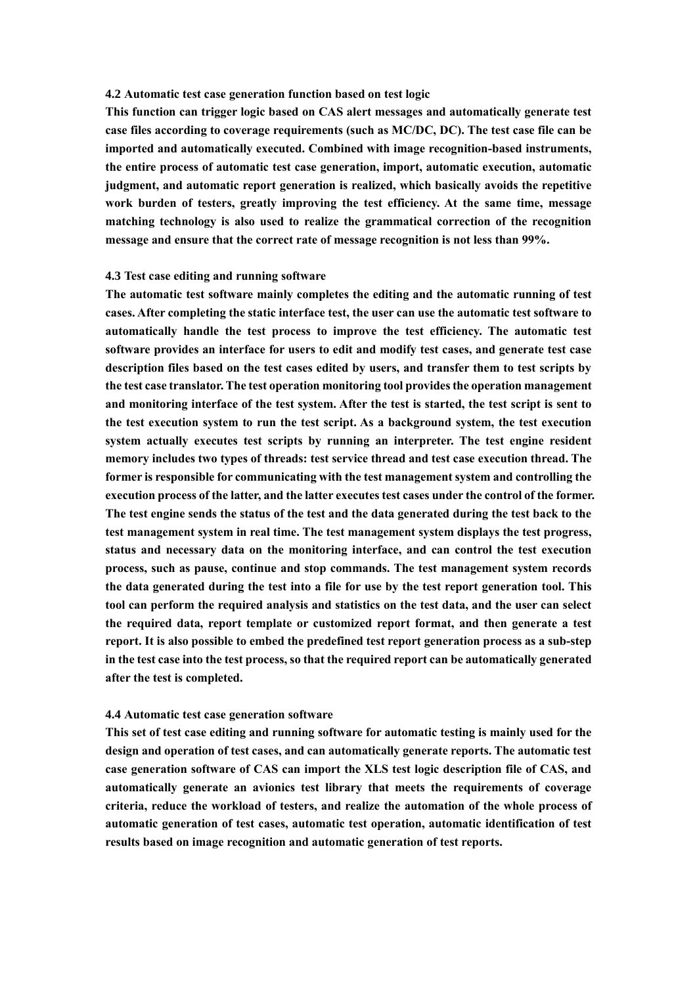#### **4.2 Automatic test case generation function based on test logic**

**This function can trigger logic based on CAS alert messages and automatically generate test case files according to coverage requirements (such as MC/DC, DC). The test case file can be imported and automatically executed. Combined with image recognition-based instruments, the entire process of automatic test case generation, import, automatic execution, automatic judgment, and automatic report generation is realized, which basically avoids the repetitive work burden of testers, greatly improving the test efficiency. At the same time, message matching technology is also used to realize the grammatical correction of the recognition message and ensure that the correct rate of message recognition is not less than 99%.**

## **4.3 Test case editing and running software**

**The automatic test software mainly completes the editing and the automatic running of test cases. After completing the static interface test, the user can use the automatic test software to automatically handle the test process to improve the test efficiency. The automatic test software provides an interface for users to edit and modify test cases, and generate test case description files based on the test cases edited by users, and transfer them to test scripts by the test case translator. The test operation monitoring tool provides the operation management and monitoring interface of the test system. After the test is started, the test script is sent to the test execution system to run the test script. As a background system, the test execution system actually executes test scripts by running an interpreter. The test engine resident memory includes two types of threads: test service thread and test case execution thread. The former is responsible for communicating with the test management system and controlling the execution process of the latter, and the latter executes test cases under the control of the former. The test engine sends the status of the test and the data generated during the test back to the test management system in real time. The test management system displays the test progress, status and necessary data on the monitoring interface, and can control the test execution process, such as pause, continue and stop commands. The test management system records the data generated during the test into a file for use by the test report generation tool. This tool can perform the required analysis and statistics on the test data, and the user can select the required data, report template or customized report format, and then generate a test report. It is also possible to embed the predefined test report generation process as a sub-step in the test case into the test process, so that the required report can be automatically generated after the test is completed.**

#### **4.4 Automatic test case generation software**

**This set of test case editing and running software for automatic testing is mainly used for the design and operation of test cases, and can automatically generate reports. The automatic test case generation software of CAS can import the XLS test logic description file of CAS, and automatically generate an avionics test library that meets the requirements of coverage criteria, reduce the workload of testers, and realize the automation of the whole process of automatic generation of test cases, automatic test operation, automatic identification of test results based on image recognition and automatic generation of test reports.**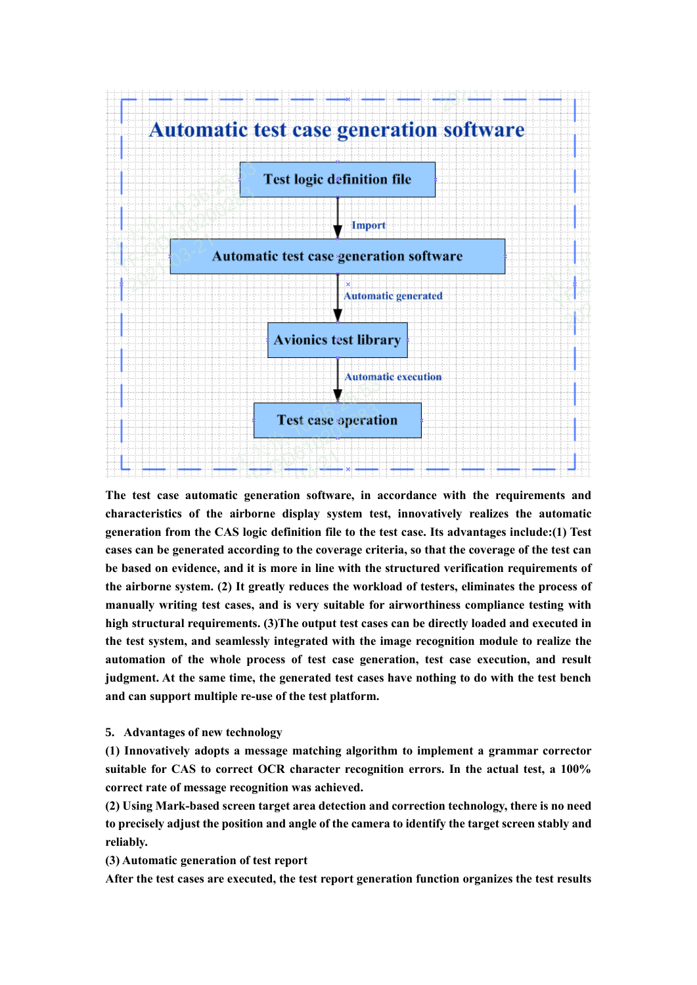

**The test case automatic generation software, in accordance with the requirements and characteristics of the airborne display system test, innovatively realizes the automatic generation from the CAS logic definition file to the test case. Its advantages include:(1) Test cases can be generated according to the coverage criteria, so that the coverage of the test can be based on evidence, and it is more in line with the structured verification requirements of the airborne system. (2) It greatly reduces the workload of testers, eliminates the process of manually writing test cases, and is very suitable for airworthiness compliance testing with high structural requirements. (3)The output test cases can be directly loaded and executed in the test system, and seamlessly integrated with the image recognition module to realize the automation of the whole process of test case generation, test case execution, and result judgment. At the same time, the generated test cases have nothing to do with the test bench and can support multiple re-use of the test platform.**

## **5. Advantages of new technology**

**(1) Innovatively adopts a message matching algorithm to implement a grammar corrector suitable for CAS to correct OCR character recognition errors. In the actual test, a 100% correct rate of message recognition was achieved.**

**(2) Using Mark-based screen target area detection and correction technology, there is no need to precisely adjust the position and angle of the camera to identify the target screen stably and reliably.**

**(3) Automatic generation of test report**

**After the test cases are executed, the test report generation function organizes the test results**